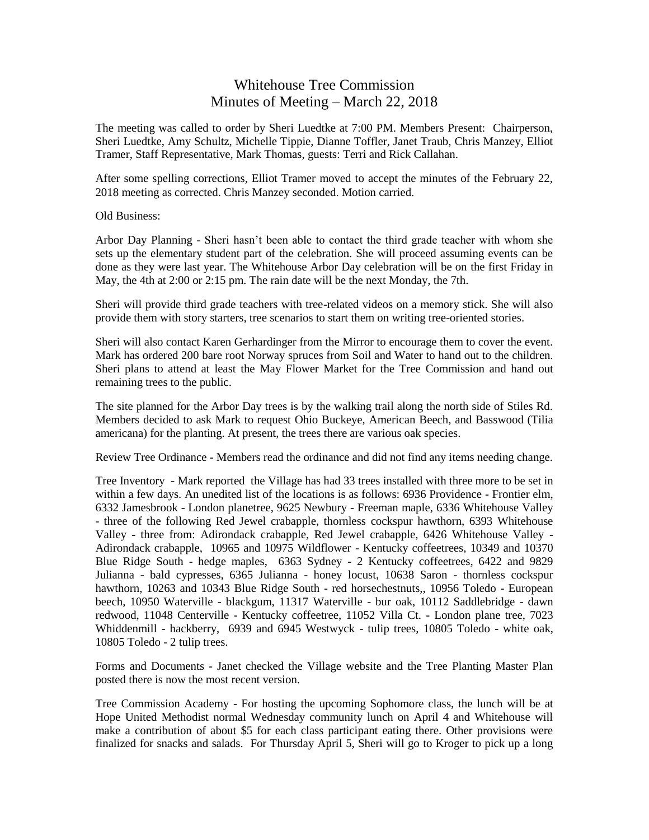## Whitehouse Tree Commission Minutes of Meeting – March 22, 2018

The meeting was called to order by Sheri Luedtke at 7:00 PM. Members Present: Chairperson, Sheri Luedtke, Amy Schultz, Michelle Tippie, Dianne Toffler, Janet Traub, Chris Manzey, Elliot Tramer, Staff Representative, Mark Thomas, guests: Terri and Rick Callahan.

After some spelling corrections, Elliot Tramer moved to accept the minutes of the February 22, 2018 meeting as corrected. Chris Manzey seconded. Motion carried.

Old Business:

Arbor Day Planning - Sheri hasn't been able to contact the third grade teacher with whom she sets up the elementary student part of the celebration. She will proceed assuming events can be done as they were last year. The Whitehouse Arbor Day celebration will be on the first Friday in May, the 4th at 2:00 or 2:15 pm. The rain date will be the next Monday, the 7th.

Sheri will provide third grade teachers with tree-related videos on a memory stick. She will also provide them with story starters, tree scenarios to start them on writing tree-oriented stories.

Sheri will also contact Karen Gerhardinger from the Mirror to encourage them to cover the event. Mark has ordered 200 bare root Norway spruces from Soil and Water to hand out to the children. Sheri plans to attend at least the May Flower Market for the Tree Commission and hand out remaining trees to the public.

The site planned for the Arbor Day trees is by the walking trail along the north side of Stiles Rd. Members decided to ask Mark to request Ohio Buckeye, American Beech, and Basswood (Tilia americana) for the planting. At present, the trees there are various oak species.

Review Tree Ordinance - Members read the ordinance and did not find any items needing change.

Tree Inventory - Mark reported the Village has had 33 trees installed with three more to be set in within a few days. An unedited list of the locations is as follows: 6936 Providence - Frontier elm, 6332 Jamesbrook - London planetree, 9625 Newbury - Freeman maple, 6336 Whitehouse Valley - three of the following Red Jewel crabapple, thornless cockspur hawthorn, 6393 Whitehouse Valley - three from: Adirondack crabapple, Red Jewel crabapple, 6426 Whitehouse Valley - Adirondack crabapple, 10965 and 10975 Wildflower - Kentucky coffeetrees, 10349 and 10370 Blue Ridge South - hedge maples, 6363 Sydney - 2 Kentucky coffeetrees, 6422 and 9829 Julianna - bald cypresses, 6365 Julianna - honey locust, 10638 Saron - thornless cockspur hawthorn, 10263 and 10343 Blue Ridge South - red horsechestnuts,, 10956 Toledo - European beech, 10950 Waterville - blackgum, 11317 Waterville - bur oak, 10112 Saddlebridge - dawn redwood, 11048 Centerville - Kentucky coffeetree, 11052 Villa Ct. - London plane tree, 7023 Whiddenmill - hackberry, 6939 and 6945 Westwyck - tulip trees, 10805 Toledo - white oak, 10805 Toledo - 2 tulip trees.

Forms and Documents - Janet checked the Village website and the Tree Planting Master Plan posted there is now the most recent version.

Tree Commission Academy - For hosting the upcoming Sophomore class, the lunch will be at Hope United Methodist normal Wednesday community lunch on April 4 and Whitehouse will make a contribution of about \$5 for each class participant eating there. Other provisions were finalized for snacks and salads. For Thursday April 5, Sheri will go to Kroger to pick up a long